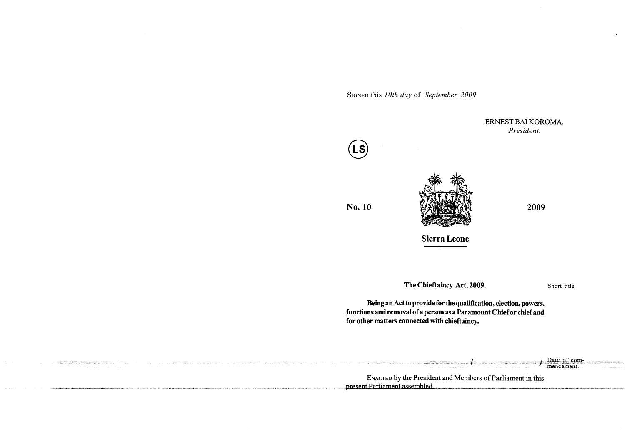SIGNED this *I 0th day* of *September, 2009* 

ERNEST BAI KOROMA, *President.*  **No. 10** *AND <b>AND AND 2009* 2009 **Sierra Leone The Chieftaincy Act, 2009. Being an Act to provide for the qualification, election, powers, functions and removal of a person as a Paramount Chief or chief and** 

Short title.

المتفجيرات

 $\mathcal{A}^{\pm}$ 

**for other matters connected with chieftaincy.** 

| the contract means the model of the contract of the contract of the contract of the contract of the contract of<br>the contract of the contract of the contract of the contract of the contract of | Date of com-<br>the contract of the contract of the contract of the contract of the contract of the contract of<br>the contract and an accountable contracts and contracts of the contracts of the contracts of the contracts of the contracts of the contracts of the contracts of the contracts of the contracts of the contracts of the contra<br>the control of the control of the control of the control of the control of the control of the control of the control of the control of the control of the control of the control of the control of the control of the control<br>the contract of the contract of the contract of the contract of the contract of the contract of the contract of<br>The Constitution of the Contract of the Contract of the Constitution of the Constitution of the Constitution of the Constitution of the Constitution of the Constitution of the Constitution of the Constitution of the Consti<br>1920-1921 - San Albidon Association and the South American School and Association and Association Association<br>mencement.<br>the commission of the commission of the commission of the commission of the commission of the commission of the commission of the commission of the commission of the commission of the commission of the commission of the co<br>the contract of the contract of the contract of the contract of the contract of the contract of |
|----------------------------------------------------------------------------------------------------------------------------------------------------------------------------------------------------|-------------------------------------------------------------------------------------------------------------------------------------------------------------------------------------------------------------------------------------------------------------------------------------------------------------------------------------------------------------------------------------------------------------------------------------------------------------------------------------------------------------------------------------------------------------------------------------------------------------------------------------------------------------------------------------------------------------------------------------------------------------------------------------------------------------------------------------------------------------------------------------------------------------------------------------------------------------------------------------------------------------------------------------------------------------------------------------------------------------------------------------------------------------------------------------------------------------------------------------------------------------------------------------------------------------------------------------------------------------------------------------------------------------|
|                                                                                                                                                                                                    | <b>ENACTED</b> by the President and Members of Parliament in this<br>nt Parliament assembled                                                                                                                                                                                                                                                                                                                                                                                                                                                                                                                                                                                                                                                                                                                                                                                                                                                                                                                                                                                                                                                                                                                                                                                                                                                                                                                |

 $\bar{z}_{\rm shock}$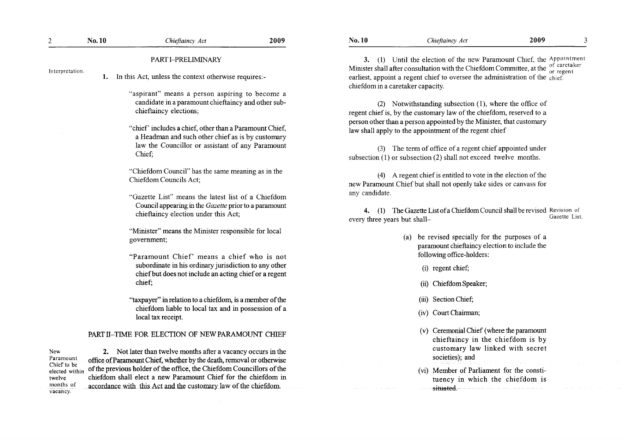| $\overline{2}$                                       | No. 10 | Chieftaincy Act                                                                                                                                                                                                                                                                                               | 2009 | <b>No. 10</b>                                  | Chieftaincy Act                                                                                                                                                                                                                                                                                                                                                                                       | 2009 |               |
|------------------------------------------------------|--------|---------------------------------------------------------------------------------------------------------------------------------------------------------------------------------------------------------------------------------------------------------------------------------------------------------------|------|------------------------------------------------|-------------------------------------------------------------------------------------------------------------------------------------------------------------------------------------------------------------------------------------------------------------------------------------------------------------------------------------------------------------------------------------------------------|------|---------------|
| Interpretation.                                      | 1.     | PART I-PRELIMINARY<br>In this Act, unless the context otherwise requires:-                                                                                                                                                                                                                                    |      |                                                | 3. (1) Until the election of the new Paramount Chief, the Appointment<br>Minister shall after consultation with the Chiefdom Committee, at the of caretaker<br>earliest, appoint a regent chief to oversee the administration of the chief.<br>chiefdom in a caretaker capacity.                                                                                                                      |      |               |
|                                                      |        | "aspirant" means a person aspiring to become a<br>candidate in a paramount chieftaincy and other sub-<br>chieftaincy elections;<br>"chief" includes a chief, other than a Paramount Chief,<br>a Headman and such other chief as is by customary<br>law the Councillor or assistant of any Paramount<br>Chief; |      |                                                | (2) Notwithstanding subsection (1), where the office of<br>regent chief is, by the customary law of the chiefdom, reserved to a<br>person other than a person appointed by the Minister, that customary<br>law shall apply to the appointment of the regent chief<br>(3) The term of office of a regent chief appointed under<br>subsection $(1)$ or subsection $(2)$ shall not exceed twelve months. |      |               |
|                                                      |        | "Chiefdom Council" has the same meaning as in the<br>Chiefdom Councils Act;                                                                                                                                                                                                                                   |      |                                                | (4) A regent chief is entitled to vote in the election of the<br>new Paramount Chief but shall not openly take sides or canvass for                                                                                                                                                                                                                                                                   |      |               |
|                                                      |        | "Gazette List" means the latest list of a Chiefdom<br>Council appearing in the Gazette prior to a paramount<br>chieftaincy election under this Act;                                                                                                                                                           |      | any candidate.<br>every three years but shall- | (1) The Gazette List of a Chiefdom Council shall be revised Revision of                                                                                                                                                                                                                                                                                                                               |      | Gazette List. |
|                                                      |        | "Minister" means the Minister responsible for local<br>government;                                                                                                                                                                                                                                            |      |                                                | (a) be revised specially for the purposes of a<br>paramount chieftaincy election to include the                                                                                                                                                                                                                                                                                                       |      |               |
|                                                      |        | "Paramount Chief" means a chief who is not<br>subordinate in his ordinary jurisdiction to any other<br>chief but does not include an acting chief or a regent<br>chief;                                                                                                                                       |      |                                                | following office-holders:<br>(i) regent chief;<br>(ii) Chiefdom Speaker;                                                                                                                                                                                                                                                                                                                              |      |               |
|                                                      |        | "taxpayer" in relation to a chiefdom, is a member of the<br>chiefdom liable to local tax and in possession of a<br>local tax receipt.                                                                                                                                                                         |      |                                                | (iii) Section Chief;<br>(iv) Court Chairman;                                                                                                                                                                                                                                                                                                                                                          |      |               |
| New<br>Paramount                                     |        | PART II-TIME FOR ELECTION OF NEW PARAMOUNT CHIEF<br>2. Not later than twelve months after a vacancy occurs in the<br>office of Paramount Chief, whether by the death, removal or otherwise                                                                                                                    |      |                                                | (v) Ceremonial Chief (where the paramount<br>chieftaincy in the chiefdom is by<br>customary law linked with secret<br>societies); and                                                                                                                                                                                                                                                                 |      |               |
| Chief to be<br>elected within<br>twelve<br>months of |        | of the previous holder of the office, the Chiefdom Councillors of the<br>chiefdom shall elect a new Paramount Chief for the chiefdom in<br>accordance with this Act and the customary law of the chiefdom.                                                                                                    |      |                                                | (vi) Member of Parliament for the consti-<br>tuency in which the chiefdom is<br><del>situated</del> .                                                                                                                                                                                                                                                                                                 |      |               |

 $\mathcal{L}(\mathcal{L}^{\mathcal{L}})$  and  $\mathcal{L}^{\mathcal{L}}$  and  $\mathcal{L}^{\mathcal{L}}$ 

vacancy.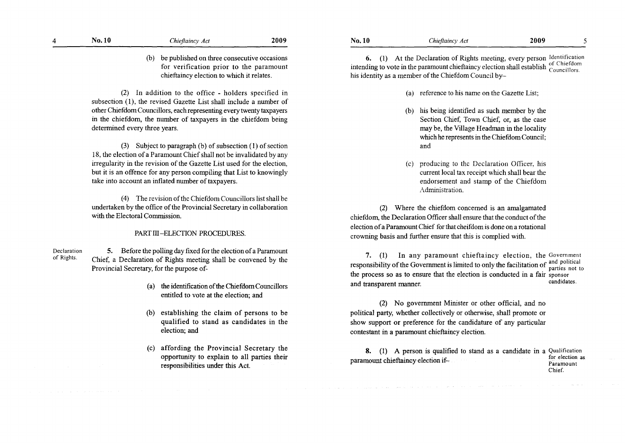| $\boldsymbol{\Delta}$ | No. 10 | Chieftaincy Act | 2009 |
|-----------------------|--------|-----------------|------|
|                       |        |                 |      |

(b) be published on three consecutive occasions for verification prior to the paramount chieftaincy election to which it relates.

(2) In addition to the office - holders specified in subsection (1), the revised Gazette List shall include a number of other Chiefdom Councillors, each representing every twenty taxpayers in the chiefdom, the number of taxpayers in the chiefdom being determined every three years.

(3) Subject to paragraph (b) of subsection ( 1) of section 18, the election of a Paramount Chief shall not be invalidated by any irregularity in the revision of the Gazette List used for the election, but it is an offence for any person compiling that List to knowingly take into account an inflated number of taxpayers.

( 4) The revision of the Chiefdom Councillors list shail be undertaken by the office of the Provincial Secretary in collaboration with the Electoral Commission.

## PART III-ELECTION PROCEDURES.

Declaration of Rights. 5. Before the polling day fixed for the election of a Paramount Chief, a Declaration of Rights meeting shall be convened by the Provincial Secretary, for the purpose of-

- ( a) the identification of the Chiefdom Councillors entitled to vote at the election; and
- (b) establishing the claim of persons to be qualified to stand as candidates in the election; and
- (c) affording the Provincial Secretary the opportunity to explain to all parties their responsibilities under this Act.

6. (1) At the Declaration of Rights meeting, every person Identification intending to vote in the paramount chieftaincy election shall establish councillors. his identity as a member of the Chiefdom Council by-

- (a) reference to his name on the Gazette List;
- (b) his being identified as such member by the Section Chief, Town Chief, or, as the case may be, the Village Headman in the locality which he represents in the Chiefdom Council; and
- (c) **producing to the Declaration Officer, his**  current local tax receipt which shall bear the endorsement and stamp of the Chiefdom Administration.

(2) Where the chiefdom concerned is an amalgamated chiefdom, the Declaration Officer shall ensure that the conduct of the election of a Paramount Chief for that cheifdom is done on a rotational crowning basis and further ensure that this is complied with.

**7. (1) In** any paramount chieftaincy election, the Government responsibility of the Government is limited to only the facilitation of and political parties not to the process so as to ensure that the election is conducted in a fair sponsor and transparent manner. The candidates candidates.

(2) No government Minister or other official, and no political party, whether collectively or otherwise, shall promote or show support or preference for the candidature of any particular contestant in a paramount chieftaincy election.

8. (1) A person is qualified to stand as a candidate in a Qualification for election as 1..: ..,,.\_,\_\_ I · "f. for election as paramount CJ.1.Le.1.w.rui.;y e ectlon 1 - Paramount Chief.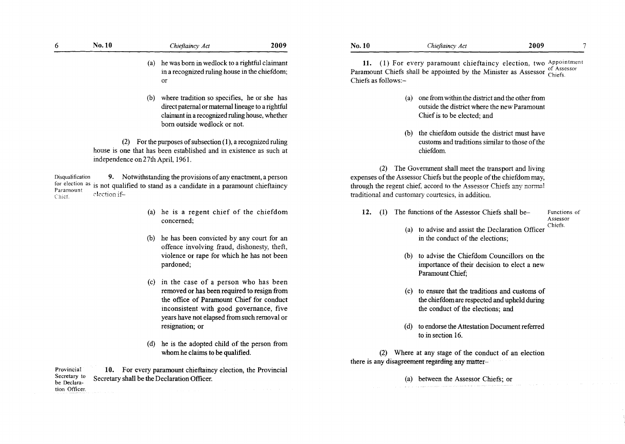| 6                                       | No. 10                                   | Chieftaincy Act                                                                                                                                                                                                                                   | 2009 | No. 10                     |
|-----------------------------------------|------------------------------------------|---------------------------------------------------------------------------------------------------------------------------------------------------------------------------------------------------------------------------------------------------|------|----------------------------|
|                                         |                                          | (a) he was born in wedlock to a rightful claimant<br>in a recognized ruling house in the chiefdom;<br>or                                                                                                                                          |      | 11<br>Param<br>Chiefs      |
|                                         |                                          | (b) where tradition so specifies, he or she has<br>direct paternal or maternal lineage to a rightful<br>claimant in a recognized ruling house, whether<br>born outside wedlock or not.                                                            |      |                            |
|                                         | (2)<br>independence on 27th April, 1961. | For the purposes of subsection $(1)$ , a recognized ruling<br>house is one that has been established and in existence as such at                                                                                                                  |      |                            |
| Disqualification<br>Paramount<br>Chicr. | 9.<br>election if-                       | Notwithstanding the provisions of any enactment, a person<br>for election as is not qualified to stand as a candidate in a paramount chieftaincy                                                                                                  |      | expen<br>throug<br>traditi |
|                                         |                                          | (a) he is a regent chief of the chiefdom<br>concerned;                                                                                                                                                                                            |      | 12                         |
|                                         |                                          | (b) he has been convicted by any court for an<br>offence involving fraud, dishonesty, theft,<br>violence or rape for which he has not been<br>pardoned;                                                                                           |      |                            |
|                                         |                                          | (c) in the case of a person who has been<br>removed or has been required to resign from<br>the office of Paramount Chief for conduct<br>inconsistent with good governance, five<br>years have not elapsed from such removal or<br>resignation; or |      |                            |
|                                         |                                          | he is the adopted child of the person from<br>(d)<br>whom he claims to be qualified.                                                                                                                                                              |      |                            |

Provincial Secretary to be Declaration Officer. **10.** For every paramount chieftaincy election, the Provincial Secretary shall be the Declaration Officer.

| No. 10 | Chieftaincy Act | 2009 |  |
|--------|-----------------|------|--|
|        |                 |      |  |

**11.** (1) For every paramount chieftaincy election, two Appointment **Property is a computational dependence of Assessor** chiefs.<br> **Property**  $\frac{1}{2}$  of Assessor Chiefs. fs as follows:-

- (a) one from within the district and the other from outside the district where the new Paramount Chief is to be elected; and
- (b) the chiefdom outside the district must have customs and traditions similar to those of the chiefdom.

(2) The Government shall meet the transport and living ases of the Assessor Chiefs but the people of the chiefdom may, gh the regent chief, accord to the Assessor Chiefs any normal ional and customary courtesies, in addition.

2. (1) The functions of the Assessor Chiefs shall be-<br>Functions of

Assessor

- (a) to advise and assist the Declaration Officer Chiefs. in the conduct of the elections;
- (b) to advise the Chiefdom Councillors on the importance of their decision to elect a new Paramount Chief;
- ( c) to ensure that the traditions and customs of the chiefdom are respected and upheld during the conduct of the elections; and
- (d) to endorse the Attestation Document referred to in section 16.

(2) Where at any stage of the conduct of an election there is any disagreement regarding any matter-

( a) between the Assessor Chiefs; or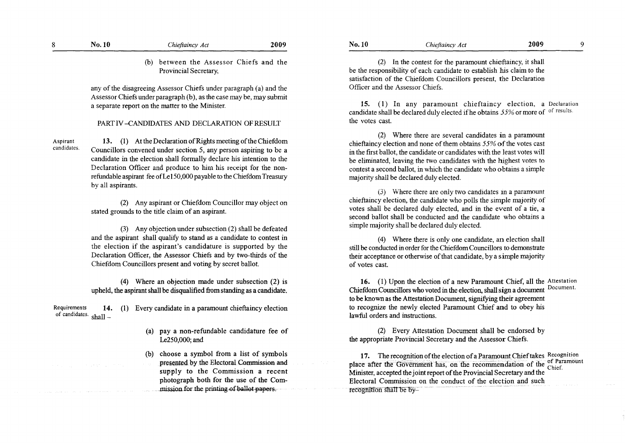|  | No. 10 | Chieftaincy Act | 2009 |
|--|--------|-----------------|------|
|--|--------|-----------------|------|

(b) between the Assessor Chiefs and the Provincial Secretary,

any of the disagreeing Assessor Chiefs under paragraph (a) and the Assessor Chiefs under paragraph (b), as the case may be, may submit a separate report on the matter to the Minister.

## PART IV -CANDIDATES AND DECLARATION OF RESULT

Aspirant candidates.

13. (1) At the Declaration of Rights meeting of the Chiefdom Councillors convened under section 5, any person aspiring to be a candidate in the election shall formally declare his intention to the Declaration Officer and produce to him his receipt for the nonrefundable aspirant fee of Le 150,000 payable to the Chiefdom Treasury by all aspirants.

(2) Any aspirant or Chiefdom Councillor may object on stated grounds to the title claim of an aspirant.

(3) Any objection under subsection (2) shall be defeated and the aspirant shall qualify to stand as a candidate to contest in the election if the aspirant's candidature is supported by the Declaration Officer, the Assessor Chiefs and by two-thirds of the Chiefdom Councillors present and voting by secret ballot.

(4) Where an objection made under subsection (2) is upheld, the aspirant shall be disqualified from standing as a candidate.

Requirements **14. (1)** Every candidate in a paramount chieftaincy election of candidates.  $shall$  –

- (a) pay a non-refundable candidature fee of Le250,000; and
- (b) choose a symbol from a list of symbols presented by the Electoral Commission and supply to the Commission a recent photograph both for the use of the Commission for the printing of ballot papers.

(2) In the contest for the paramount chieftaincy, it shall be the responsibility of each candidate to establish his claim to the satisfaction of the Chiefdom Councillors present, the Declaration Officer and the Assessor Chiefs.

**15.** ( 1) In any paramount chieftaincy election, a Declaration candidate shall be declared duly elected if he obtains  $55\%$  or more of <sup>of results.</sup> the votes cast.

(2) Where there are several candidates in a paramount chieftaincy election and none of them obtains 55% of the votes cast in the first ballot, the candidate or candidates with the least votes will be eliminated, leaving the two candidates with the highest votes to contest a second ballot, in which the candidate who obtains a simple majority shall be declared duly elected.

(3) Where there are oniy two candidates ma paramount chieftaincy election, the candidate who polls the simple majority of votes shall be declared duly elected, and in the event of a tie, a second ballot shall be conducted and the candidate who obtains a simple majority shall be declared duly elected.

(4) Where there is only one candidate, an election shall still be conducted in order for the Chiefdom Councillors to demonstrate their acceptance or otherwise of that candidate, by a simple majority of votes cast.

**16.** (I) Upon the election of a new Paramount Chief, all the Attestation Chiefdom Councillors who voted in the election, shall sign a document Document. to be known as the Attestation Document, signifying their agreement to recognize the newly elected Paramount Chief and to obey his lawful orders and instructions.

(2) Every Attestation Document shall be endorsed by the appropriate Provincial Secretary and the Assessor Chiefs.

**17.** The recognition of the election of a Paramount Chief takes Recognition place after the Government has, on the recommendation of the Chief. Minister, accepted the joint report of the Provincial Secretary and the Electoral Commission on the conduct of the election and such recognition shall be by-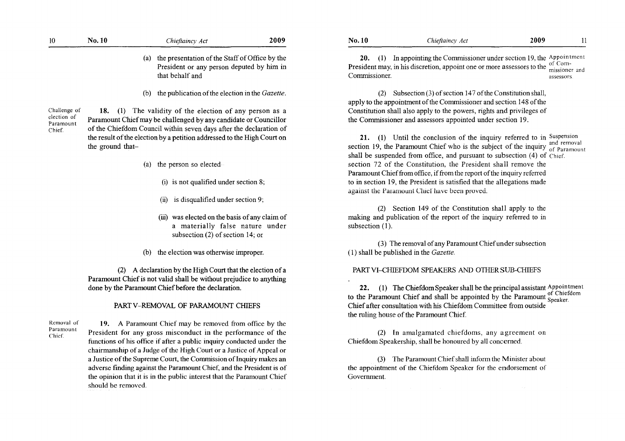|                          | the presentation of the Staff of Office by the<br>(a)                   | 20. (1) In appointing the Commissioner under section 19, the Appointment<br>of Com-                                    |
|--------------------------|-------------------------------------------------------------------------|------------------------------------------------------------------------------------------------------------------------|
|                          | President or any person deputed by him in<br>that behalf and            | President may, in his discretion, appoint one or more assessors to the<br>missioner and<br>Commissioner.<br>assessors. |
|                          | the publication of the election in the Gazette.<br>(b)                  | (2) Subsection (3) of section 147 of the Constitution shall,                                                           |
|                          |                                                                         | apply to the appointment of the Commissioner and section 148 of the                                                    |
| Challenge of             | 18. (1) The validity of the election of any person as a                 | Constitution shall also apply to the powers, rights and privileges of                                                  |
| election of<br>Paramount | Paramount Chief may be challenged by any candidate or Councillor        | the Commissioner and assessors appointed under section 19.                                                             |
| Chief.                   | of the Chiefdom Council within seven days after the declaration of      |                                                                                                                        |
|                          | the result of the election by a petition addressed to the High Court on | 21. (1) Until the conclusion of the inquiry referred to in Suspension                                                  |
|                          | the ground that-                                                        | section 19, the Paramount Chief who is the subject of the inquiry of Paramount                                         |
|                          |                                                                         | shall be suspended from office, and pursuant to subsection (4) of Chief.                                               |
|                          | the person so elected<br>(a)                                            | section 72 of the Constitution, the President shall remove the                                                         |
|                          |                                                                         | Paramount Chief from office, if from the report of the inquiry referred                                                |
|                          | $(i)$ is not qualified under section 8;                                 | to in section 19, the President is satisfied that the allegations made                                                 |
|                          |                                                                         | against the Paramount Chief have been proved.                                                                          |
|                          | is disqualified under section 9;<br>(ii)                                |                                                                                                                        |
|                          |                                                                         | (2) Section 149 of the Constitution shall apply to the                                                                 |
|                          | (iii) was elected on the basis of any claim of                          | making and publication of the report of the inquiry referred to in                                                     |
|                          | a materially false nature under                                         | subsection $(1)$ .                                                                                                     |
|                          | subsection $(2)$ of section 14; or                                      | (3) The removal of any Paramount Chief under subsection                                                                |
|                          | the election was otherwise improper.<br>(b)                             | (1) shall be published in the Gazette.                                                                                 |
|                          |                                                                         |                                                                                                                        |
|                          | (2) A declaration by the High Court that the election of a              | PART VI-CHIEFDOM SPEAKERS AND OTHER SUB-CHIEFS                                                                         |
|                          | Paramount Chief is not valid shall be without prejudice to anything     |                                                                                                                        |
|                          | done by the Paramount Chief before the declaration.                     | (1) The Chiefdom Speaker shall be the principal assistant Appointment<br>22.                                           |
|                          |                                                                         | to the Paramount Chief and shall be appointed by the Paramount $S_{\text{peaker}}$ .                                   |
|                          | PART V-REMOVAL OF PARAMOUNT CHIEFS                                      | Chief after consultation with his Chiefdom Committee from outside                                                      |
|                          |                                                                         | the ruling house of the Paramount Chief.                                                                               |
| Removal of<br>Paramount  | 19. A Paramount Chief may be removed from office by the                 |                                                                                                                        |
| Chief.                   | President for any gross misconduct in the performance of the            | (2) In amalgamated chiefdoms, any agreement on                                                                         |
|                          | functions of his office if after a public inquiry conducted under the   | Chiefdom Speakership, shall be honoured by all concerned.                                                              |
|                          | chairmanship of a Judge of the High Court or a Justice of Appeal or     |                                                                                                                        |
|                          | a Justice of the Supreme Court, the Commission of Inquiry makes an      | (3) The Paramount Chief shall inform the Minister about                                                                |
|                          | adverse finding against the Paramount Chief, and the President is of    | the appointment of the Chiefdom Speaker for the endorsement of                                                         |
|                          | the opinion that it is in the public interest that the Paramount Chief  | Government.                                                                                                            |

**No.10** *Chieflaincy Act* **2009** <sup>11</sup>

**No.10** *Chiefiaincy Act* **2009** 

the opinion that it is in the public interest that the Paramount Chief

should be removed.

 $10\,$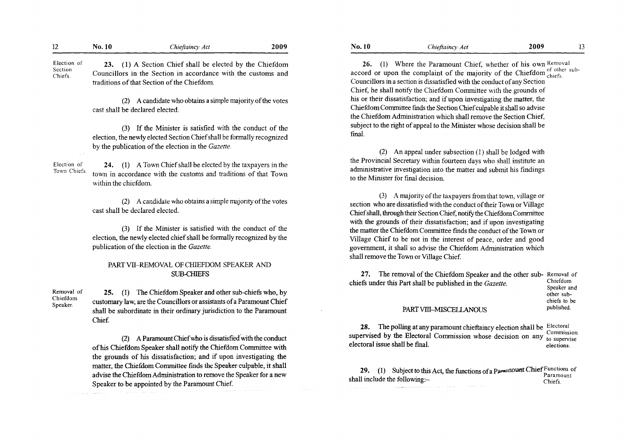| 12                                 | No. 10                      | Chieftaincy Act                                                                                                                                                                                                                                                                                                                                                                                 | 2009 |
|------------------------------------|-----------------------------|-------------------------------------------------------------------------------------------------------------------------------------------------------------------------------------------------------------------------------------------------------------------------------------------------------------------------------------------------------------------------------------------------|------|
| Election of<br>Section<br>Chiefs.  | 23.                         | (1) A Section Chief shall be elected by the Chiefdom<br>Councillors in the Section in accordance with the customs and<br>traditions of that Section of the Chiefdom.                                                                                                                                                                                                                            |      |
|                                    | (2)                         | A candidate who obtains a simple majority of the votes<br>cast shall be declared elected.                                                                                                                                                                                                                                                                                                       |      |
|                                    |                             | (3) If the Minister is satisfied with the conduct of the<br>election, the newly elected Section Chief shall be formally recognized<br>by the publication of the election in the Gazette.                                                                                                                                                                                                        |      |
| Election of<br>Town Chiefs.        | 24.<br>within the chiefdom. | (1) A Town Chief shall be elected by the taxpayers in the<br>town in accordance with the customs and traditions of that Town                                                                                                                                                                                                                                                                    |      |
|                                    | (2)                         | A candidate who obtains a simple majority of the votes<br>cast shall be declared elected.                                                                                                                                                                                                                                                                                                       |      |
|                                    |                             | (3) If the Minister is satisfied with the conduct of the<br>election, the newly elected chief shall be formally recognized by the<br>publication of the election in the Gazette.                                                                                                                                                                                                                |      |
|                                    |                             | PART VII-REMOVAL OF CHIEFDOM SPEAKER AND<br><b>SUB-CHIEFS</b>                                                                                                                                                                                                                                                                                                                                   |      |
| Removal of<br>Chiefdom<br>Speaker. | 25.<br>Chief.               | (1) The Chiefdom Speaker and other sub-chiefs who, by<br>customary law, are the Councillors or assistants of a Paramount Chief<br>shall be subordinate in their ordinary jurisdiction to the Paramount                                                                                                                                                                                          |      |
|                                    | (2)                         | A Paramount Chief who is dissatisfied with the conduct<br>of his Chiefdom Speaker shall notify the Chiefdom Committee with<br>the grounds of his dissatisfaction; and if upon investigating the<br>matter, the Chiefdom Committee finds the Speaker culpable, it shall<br>advise the Chiefdom Administration to remove the Speaker for a new<br>Speaker to be appointed by the Paramount Chief. |      |

| <b>No. 10</b> | Chieftaincy Act | 2009 |  |
|---------------|-----------------|------|--|
|               |                 |      |  |

26. (1) Where the Paramount Chief, whether of his own Removal  $\frac{d}{dx}$  . The left of the majority of the Chiefdom  $\frac{d}{d}$  of other sub-Councillors in a section is dissatisfied with the conduct of any Section Chief, he shall notify the Chiefdom Committee with the grounds of his or their dissatisfaction; and if upon investigating the matter, the Chiefdom Committee finds the Section Chief culpable it shall so advise the Chiefdom Administration which shall remove the Section Chief, subject to the right of appeal to the Minister whose decision shall be final.

(2) An appeal under subsection (I) shall be lodged with the Provincial Secretary within fourteen days who shall institute an administrative investigation into the matter and submit his findings to the Minister for final decision.

(3) A majority of the taxpayers from that town, village or section who are dissatisfied with the conduct of their Town or Village Chief shall, through their Section Chief, notify the Chiefdom Committee with the grounds of their dissatisfaction; and if upon investigating he matter the Chiefdom Committee finds the conduct of the Town or Village Chief to be not in the interest of peace, order and good government, it shall so advise the Chiefdom Administration which hall remove the Town or Village Chief.

**27.** The removal of the Chiefdom Speaker and the other sub-Removal of the Case of the Case of the Case of the Chiefdom chiefs under this Part shall be published in the *Gazette*. Speaker and other subchiefs to be<br>published. PART VIII-MISCELLANOUS

**28.** The polling at any paramount chieftaincy election shall be Electoral. . upervised by the Electoral Commission whose decision on any  $\frac{1}{10}$  supervise electoral issue shall be final.

29. (1) Subject to this Act, the functions of a **Paramount Chief Functions** of . . . Paramount **Paramount** Chiefs. hall include the following: $-$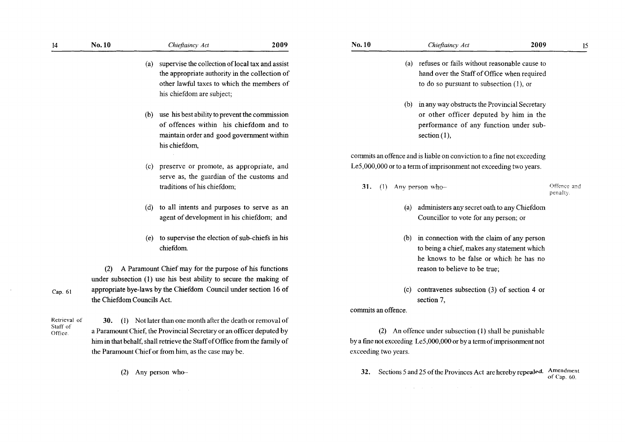|       | No. 10                            |     | Chieftaincy Act                                                                                                                                                                                 | 2009 |
|-------|-----------------------------------|-----|-------------------------------------------------------------------------------------------------------------------------------------------------------------------------------------------------|------|
|       |                                   | (a) | supervise the collection of local tax and assist<br>the appropriate authority in the collection of<br>other lawful taxes to which the members of<br>his chiefdom are subject;                   |      |
|       |                                   | (b) | use his best ability to prevent the commission<br>of offences within his chiefdom and to<br>maintain order and good government within<br>his chiefdom,                                          |      |
|       |                                   |     | (c) preserve or promote, as appropriate, and<br>serve as, the guardian of the customs and<br>traditions of his chiefdom;                                                                        |      |
|       |                                   | (d) | to all intents and purposes to serve as an<br>agent of development in his chiefdom; and                                                                                                         |      |
|       |                                   | (e) | to supervise the election of sub-chiefs in his<br>chiefdom.                                                                                                                                     |      |
|       | (2)<br>the Chiefdom Councils Act. |     | A Paramount Chief may for the purpose of his functions<br>under subsection (1) use his best ability to secure the making of<br>appropriate bye-laws by the Chiefdom Council under section 16 of |      |
| al of | 30.                               |     | (1) Not later than one month after the death or removal of<br>a Paramount Chief, the Provincial Secretary or an officer deputed by                                                              |      |

Retriev Staff of Office.

Cap. 6

14

him in that behalf, shall retrieve the Staff of Office from the family of the Paramount Chief or from him, as the case may be.

(2) Any person who-

- hand over the Staff of Office when required to do so pursuant to subsection (I), or
- (b) in any way obstructs the Provincial Secretary or other officer deputed by him in the performance of any function under subsection  $(1)$ ,

commits an offence and is liable on conviction to a fine not exceeding Le5,000,000 or to a term of imprisonment not exceeding two years.

**31.** (1) Any person who-

Offence and penalty.

- (a) administers any secret oath to any Chiefdom Councillor to vote for any person; or
- (b) in connection with the claim of any person to being a chief, makes any statement which he knows to be false or which he has no reason to believe to be true;
- (c) contravenes subsection (3) of section 4 or section 7,

commits an offence.

(2) An offence under subsection (1) shall be punishable by a fme not exceeding Le5,000,000 or by a term of imprisonment not exceeding two years.

**32.** Sections 5 and 25 of the Provinces Act are hereby repeaJed, Amendment of Cap. 60.